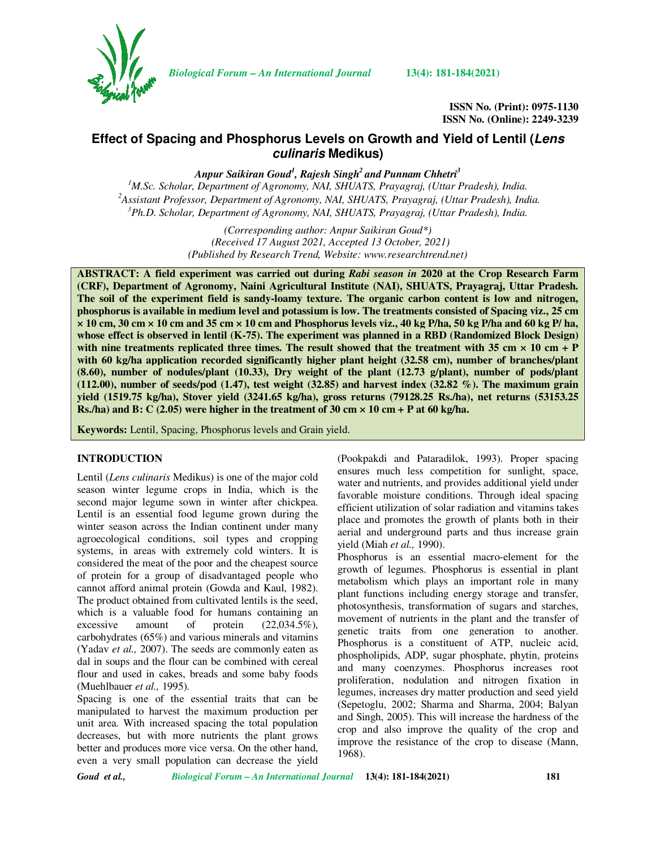

*Biological Forum – An International Journal* **13(4): 181-184(2021)**

**ISSN No. (Print): 0975-1130 ISSN No. (Online): 2249-3239** 

# **Effect of Spacing and Phosphorus Levels on Growth and Yield of Lentil (Lens culinaris Medikus)**

*Anpur Saikiran Goud<sup>1</sup> , Rajesh Singh<sup>2</sup>and Punnam Chhetri<sup>3</sup>*

*<sup>1</sup>M.Sc. Scholar, Department of Agronomy, NAI, SHUATS, Prayagraj, (Uttar Pradesh), India. <sup>2</sup>Assistant Professor, Department of Agronomy, NAI, SHUATS, Prayagraj, (Uttar Pradesh), India. <sup>3</sup>Ph.D. Scholar, Department of Agronomy, NAI, SHUATS, Prayagraj, (Uttar Pradesh), India.* 

> *(Corresponding author: Anpur Saikiran Goud\*) (Received 17 August 2021, Accepted 13 October, 2021) (Published by Research Trend, Website: www.researchtrend.net)*

**ABSTRACT: A field experiment was carried out during** *Rabi season in* **2020 at the Crop Research Farm (CRF), Department of Agronomy, Naini Agricultural Institute (NAI), SHUATS, Prayagraj, Uttar Pradesh. The soil of the experiment field is sandy-loamy texture. The organic carbon content is low and nitrogen, phosphorus is available in medium level and potassium is low. The treatments consisted of Spacing viz., 25 cm × 10 cm, 30 cm × 10 cm and 35 cm × 10 cm and Phosphorus levels viz., 40 kg P/ha, 50 kg P/ha and 60 kg P/ ha, whose effect is observed in lentil (K-75). The experiment was planned in a RBD (Randomized Block Design)**  with nine treatments replicated three times. The result showed that the treatment with  $35 \text{ cm} \times 10 \text{ cm} + P$ **with 60 kg/ha application recorded significantly higher plant height (32.58 cm), number of branches/plant (8.60), number of nodules/plant (10.33), Dry weight of the plant (12.73 g/plant), number of pods/plant (112.00), number of seeds/pod (1.47), test weight (32.85) and harvest index (32.82 %). The maximum grain yield (1519.75 kg/ha), Stover yield (3241.65 kg/ha), gross returns (79128.25 Rs./ha), net returns (53153.25 Rs./ha) and B: C (2.05) were higher in the treatment of 30 cm × 10 cm + P at 60 kg/ha.**

**Keywords:** Lentil, Spacing, Phosphorus levels and Grain yield.

#### **INTRODUCTION**

Lentil (*Lens culinaris* Medikus) is one of the major cold season winter legume crops in India, which is the second major legume sown in winter after chickpea. Lentil is an essential food legume grown during the winter season across the Indian continent under many agroecological conditions, soil types and cropping systems, in areas with extremely cold winters. It is considered the meat of the poor and the cheapest source of protein for a group of disadvantaged people who cannot afford animal protein (Gowda and Kaul, 1982). The product obtained from cultivated lentils is the seed, which is a valuable food for humans containing an excessive amount of protein  $(22,034.5\%),$ carbohydrates (65%) and various minerals and vitamins (Yadav *et al.,* 2007). The seeds are commonly eaten as dal in soups and the flour can be combined with cereal flour and used in cakes, breads and some baby foods (Muehlbauer *et al.,* 1995).

Spacing is one of the essential traits that can be manipulated to harvest the maximum production per unit area. With increased spacing the total population decreases, but with more nutrients the plant grows better and produces more vice versa. On the other hand, even a very small population can decrease the yield

(Pookpakdi and Pataradilok, 1993). Proper spacing ensures much less competition for sunlight, space, water and nutrients, and provides additional yield under favorable moisture conditions. Through ideal spacing efficient utilization of solar radiation and vitamins takes place and promotes the growth of plants both in their aerial and underground parts and thus increase grain yield (Miah *et al.,* 1990).

Phosphorus is an essential macro-element for the growth of legumes. Phosphorus is essential in plant metabolism which plays an important role in many plant functions including energy storage and transfer, photosynthesis, transformation of sugars and starches, movement of nutrients in the plant and the transfer of genetic traits from one generation to another. Phosphorus is a constituent of ATP, nucleic acid, phospholipids, ADP, sugar phosphate, phytin, proteins and many coenzymes. Phosphorus increases root proliferation, nodulation and nitrogen fixation in legumes, increases dry matter production and seed yield (Sepetoglu, 2002; Sharma and Sharma, 2004; Balyan and Singh, 2005). This will increase the hardness of the crop and also improve the quality of the crop and improve the resistance of the crop to disease (Mann, 1968).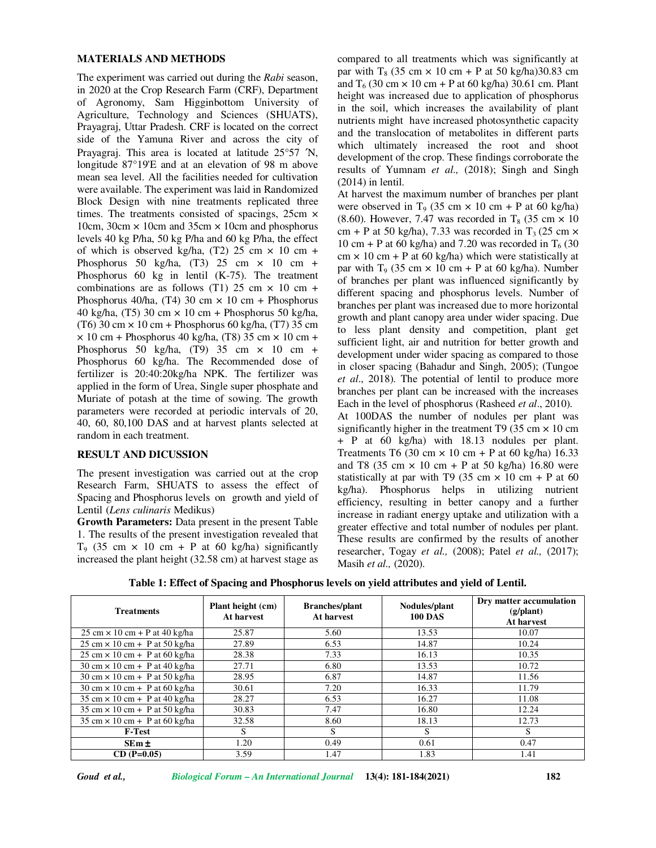#### **MATERIALS AND METHODS**

The experiment was carried out during the *Rabi* season, in 2020 at the Crop Research Farm (CRF), Department of Agronomy, Sam Higginbottom University of Agriculture, Technology and Sciences (SHUATS), Prayagraj, Uttar Pradesh. CRF is located on the correct side of the Yamuna River and across the city of Prayagraj. This area is located at latitude 25°57 ′N, longitude 87°19'E and at an elevation of 98 m above mean sea level. All the facilities needed for cultivation were available. The experiment was laid in Randomized Block Design with nine treatments replicated three times. The treatments consisted of spacings,  $25cm \times$ 10cm, 30cm  $\times$  10cm and 35cm  $\times$  10cm and phosphorus levels 40 kg P/ha, 50 kg P/ha and 60 kg P/ha, the effect of which is observed kg/ha,  $(T2)$  25 cm  $\times$  10 cm + Phosphorus 50 kg/ha,  $(T3)$  25 cm  $\times$  10 cm + Phosphorus 60 kg in lentil (K-75). The treatment combinations are as follows (T1) 25 cm  $\times$  10 cm + Phosphorus 40/ha, (T4) 30 cm  $\times$  10 cm + Phosphorus 40 kg/ha, (T5) 30 cm  $\times$  10 cm + Phosphorus 50 kg/ha, (T6) 30 cm  $\times$  10 cm + Phosphorus 60 kg/ha, (T7) 35 cm  $\times$  10 cm + Phosphorus 40 kg/ha, (T8) 35 cm  $\times$  10 cm + Phosphorus 50 kg/ha, (T9) 35 cm  $\times$  10 cm + Phosphorus 60 kg/ha. The Recommended dose of fertilizer is 20:40:20kg/ha NPK. The fertilizer was applied in the form of Urea, Single super phosphate and Muriate of potash at the time of sowing. The growth parameters were recorded at periodic intervals of 20, 40, 60, 80,100 DAS and at harvest plants selected at random in each treatment.

#### **RESULT AND DICUSSION**

The present investigation was carried out at the crop Research Farm, SHUATS to assess the effect of Spacing and Phosphorus levels on growth and yield of Lentil (*Lens culinaris* Medikus)

**Growth Parameters:** Data present in the present Table 1. The results of the present investigation revealed that T<sub>9</sub> (35 cm  $\times$  10 cm + P at 60 kg/ha) significantly increased the plant height (32.58 cm) at harvest stage as

compared to all treatments which was significantly at par with T<sub>8</sub> (35 cm  $\times$  10 cm + P at 50 kg/ha)30.83 cm and  $T_6$  (30 cm  $\times$  10 cm + P at 60 kg/ha) 30.61 cm. Plant height was increased due to application of phosphorus in the soil, which increases the availability of plant nutrients might have increased photosynthetic capacity and the translocation of metabolites in different parts which ultimately increased the root and shoot development of the crop. These findings corroborate the results of Yumnam *et al.,* (2018); Singh and Singh (2014) in lentil.

At harvest the maximum number of branches per plant were observed in T<sub>9</sub> (35 cm  $\times$  10 cm + P at 60 kg/ha) (8.60). However, 7.47 was recorded in T<sub>8</sub> (35 cm  $\times$  10 cm + P at 50 kg/ha), 7.33 was recorded in  $T_3$  (25 cm  $\times$ 10 cm + P at 60 kg/ha) and 7.20 was recorded in  $T<sub>6</sub>$  (30  $cm \times 10$  cm + P at 60 kg/ha) which were statistically at par with  $T_9$  (35 cm  $\times$  10 cm + P at 60 kg/ha). Number of branches per plant was influenced significantly by different spacing and phosphorus levels. Number of branches per plant was increased due to more horizontal growth and plant canopy area under wider spacing. Due to less plant density and competition, plant get sufficient light, air and nutrition for better growth and development under wider spacing as compared to those in closer spacing (Bahadur and Singh, 2005); (Tungoe *et al*., 2018). The potential of lentil to produce more branches per plant can be increased with the increases Each in the level of phosphorus (Rasheed *et al*., 2010).

At 100DAS the number of nodules per plant was significantly higher in the treatment T9 (35 cm  $\times$  10 cm + P at 60 kg/ha) with 18.13 nodules per plant. Treatments T6 (30 cm  $\times$  10 cm + P at 60 kg/ha) 16.33 and T8 (35 cm  $\times$  10 cm + P at 50 kg/ha) 16.80 were statistically at par with T9 (35 cm  $\times$  10 cm + P at 60 kg/ha). Phosphorus helps in utilizing nutrient efficiency, resulting in better canopy and a further increase in radiant energy uptake and utilization with a greater effective and total number of nodules per plant. These results are confirmed by the results of another researcher, Togay *et al.,* (2008); Patel *et al.,* (2017); Masih *et al.,* (2020).

**Table 1: Effect of Spacing and Phosphorus levels on yield attributes and yield of Lentil.** 

| <b>Treatments</b>                                                      | Plant height (cm)<br>At harvest | <b>Branches/plant</b><br>At harvest | Nodules/plant<br><b>100 DAS</b> | Dry matter accumulation<br>$(g/\text{plant})$<br>At harvest |
|------------------------------------------------------------------------|---------------------------------|-------------------------------------|---------------------------------|-------------------------------------------------------------|
| $25 \text{ cm} \times 10 \text{ cm} + P$ at 40 kg/ha                   | 25.87                           | 5.60                                | 13.53                           | 10.07                                                       |
| $25 \text{ cm} \times 10 \text{ cm} + P$ at $50 \text{ kg/ha}$         | 27.89                           | 6.53                                | 14.87                           | 10.24                                                       |
| $25 \text{ cm} \times 10 \text{ cm} + P$ at 60 kg/ha                   | 28.38                           | 7.33                                | 16.13                           | 10.35                                                       |
| $30 \text{ cm} \times 10 \text{ cm} + P$ at 40 kg/ha                   | 27.71                           | 6.80                                | 13.53                           | 10.72                                                       |
| $30 \text{ cm} \times 10 \text{ cm} + P$ at $50 \text{ kg/ha}$         | 28.95                           | 6.87                                | 14.87                           | 11.56                                                       |
| $30 \text{ cm} \times 10 \text{ cm} + P$ at 60 kg/ha                   | 30.61                           | 7.20                                | 16.33                           | 11.79                                                       |
| $35 \text{ cm} \times 10 \text{ cm} + \text{ P}$ at 40 kg/ha           | 28.27                           | 6.53                                | 16.27                           | 11.08                                                       |
| $35 \text{ cm} \times 10 \text{ cm} + \text{ P}$ at $50 \text{ kg/ha}$ | 30.83                           | 7.47                                | 16.80                           | 12.24                                                       |
| $35 \text{ cm} \times 10 \text{ cm} + P$ at 60 kg/ha                   | 32.58                           | 8.60                                | 18.13                           | 12.73                                                       |
| <b>F-Test</b>                                                          | S                               | S                                   | S                               | S                                                           |
| $SEm \pm$                                                              | 1.20                            | 0.49                                | 0.61                            | 0.47                                                        |
| $CD (P=0.05)$                                                          | 3.59                            | l.47                                | 1.83                            | 1.41                                                        |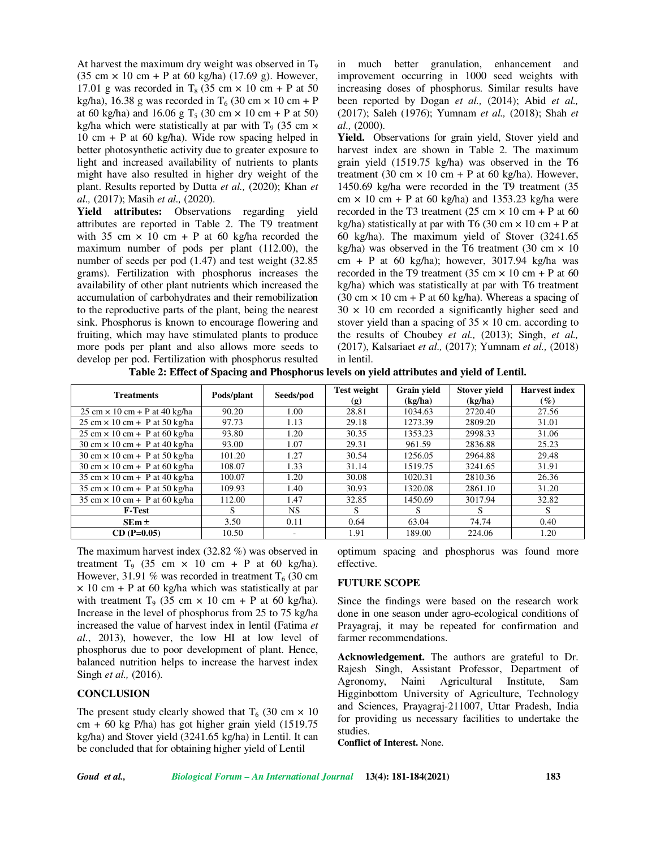At harvest the maximum dry weight was observed in  $T<sub>9</sub>$ (35 cm  $\times$  10 cm + P at 60 kg/ha) (17.69 g). However, 17.01 g was recorded in  $T_8$  (35 cm  $\times$  10 cm + P at 50 kg/ha), 16.38 g was recorded in  $T_6$  (30 cm  $\times$  10 cm + P at 60 kg/ha) and 16.06 g  $T_5$  (30 cm  $\times$  10 cm + P at 50) kg/ha which were statistically at par with  $T<sub>9</sub>$  (35 cm  $\times$ 10 cm + P at 60 kg/ha). Wide row spacing helped in better photosynthetic activity due to greater exposure to light and increased availability of nutrients to plants might have also resulted in higher dry weight of the plant. Results reported by Dutta *et al.,* (2020); Khan *et al.,* (2017); Masih *et al.,* (2020).

**Yield attributes:** Observations regarding yield attributes are reported in Table 2. The T9 treatment with 35 cm  $\times$  10 cm + P at 60 kg/ha recorded the maximum number of pods per plant (112.00), the number of seeds per pod (1.47) and test weight (32.85 grams). Fertilization with phosphorus increases the availability of other plant nutrients which increased the accumulation of carbohydrates and their remobilization to the reproductive parts of the plant, being the nearest sink. Phosphorus is known to encourage flowering and fruiting, which may have stimulated plants to produce more pods per plant and also allows more seeds to develop per pod. Fertilization with phosphorus resulted

in much better granulation, enhancement and improvement occurring in 1000 seed weights with increasing doses of phosphorus. Similar results have been reported by Dogan *et al.,* (2014); Abid *et al.,* (2017); Saleh (1976); Yumnam *et al.,* (2018); Shah *et al.,* (2000).

Yield. Observations for grain yield, Stover yield and harvest index are shown in Table 2. The maximum grain yield (1519.75 kg/ha) was observed in the T6 treatment (30 cm  $\times$  10 cm + P at 60 kg/ha). However, 1450.69 kg/ha were recorded in the T9 treatment (35 cm  $\times$  10 cm + P at 60 kg/ha) and 1353.23 kg/ha were recorded in the T3 treatment (25 cm  $\times$  10 cm + P at 60 kg/ha) statistically at par with T6 (30 cm  $\times$  10 cm + P at 60 kg/ha). The maximum yield of Stover (3241.65 kg/ha) was observed in the T6 treatment (30 cm  $\times$  10 cm + P at 60 kg/ha); however,  $3017.94$  kg/ha was recorded in the T9 treatment (35 cm  $\times$  10 cm + P at 60 kg/ha) which was statistically at par with T6 treatment (30 cm  $\times$  10 cm + P at 60 kg/ha). Whereas a spacing of  $30 \times 10$  cm recorded a significantly higher seed and stover yield than a spacing of  $35 \times 10$  cm. according to the results of Choubey *et al.,* (2013); Singh, *et al.,* (2017), Kalsariaet *et al.,* (2017); Yumnam *et al.,* (2018) in lentil.

**Table 2: Effect of Spacing and Phosphorus levels on yield attributes and yield of Lentil.** 

| <b>Treatments</b>                                              | Pods/plant | Seeds/pod                | <b>Test weight</b><br>$\left( \mathbf{g} \right)$ | Grain yield<br>(kg/ha) | <b>Stover yield</b><br>(kg/ha) | <b>Harvest</b> index<br>$(\%)$ |
|----------------------------------------------------------------|------------|--------------------------|---------------------------------------------------|------------------------|--------------------------------|--------------------------------|
| $25 \text{ cm} \times 10 \text{ cm} + P$ at 40 kg/ha           | 90.20      | 1.00                     | 28.81                                             | 1034.63                | 2720.40                        | 27.56                          |
| $25 \text{ cm} \times 10 \text{ cm} + P$ at 50 kg/ha           | 97.73      | 1.13                     | 29.18                                             | 1273.39                | 2809.20                        | 31.01                          |
| $25 \text{ cm} \times 10 \text{ cm} + P$ at 60 kg/ha           | 93.80      | 1.20                     | 30.35                                             | 1353.23                | 2998.33                        | 31.06                          |
| $30 \text{ cm} \times 10 \text{ cm} + P$ at 40 kg/ha           | 93.00      | 1.07                     | 29.31                                             | 961.59                 | 2836.88                        | 25.23                          |
| $30 \text{ cm} \times 10 \text{ cm} + P$ at $50 \text{ kg/ha}$ | 101.20     | 1.27                     | 30.54                                             | 1256.05                | 2964.88                        | 29.48                          |
| $30 \text{ cm} \times 10 \text{ cm} + P$ at 60 kg/ha           | 108.07     | 1.33                     | 31.14                                             | 1519.75                | 3241.65                        | 31.91                          |
| $35 \text{ cm} \times 10 \text{ cm} + \text{ P}$ at 40 kg/ha   | 100.07     | 1.20                     | 30.08                                             | 1020.31                | 2810.36                        | 26.36                          |
| $35 \text{ cm} \times 10 \text{ cm} + P$ at $50 \text{ kg/ha}$ | 109.93     | 1.40                     | 30.93                                             | 1320.08                | 2861.10                        | 31.20                          |
| $35 \text{ cm} \times 10 \text{ cm} + P$ at 60 kg/ha           | 112.00     | 1.47                     | 32.85                                             | 1450.69                | 3017.94                        | 32.82                          |
| <b>F-Test</b>                                                  | S          | NS.                      | S                                                 | S                      | S                              | S                              |
| $SEm \pm$                                                      | 3.50       | 0.11                     | 0.64                                              | 63.04                  | 74.74                          | 0.40                           |
| $CD (P=0.05)$                                                  | 10.50      | $\overline{\phantom{0}}$ | 1.91                                              | 189.00                 | 224.06                         | 1.20                           |

The maximum harvest index (32.82 %) was observed in treatment  $T_9$  (35 cm  $\times$  10 cm + P at 60 kg/ha). However, 31.91 % was recorded in treatment  $T<sub>6</sub>$  (30 cm)  $\times$  10 cm + P at 60 kg/ha which was statistically at par with treatment T<sub>9</sub> (35 cm  $\times$  10 cm + P at 60 kg/ha). Increase in the level of phosphorus from 25 to 75 kg/ha increased the value of harvest index in lentil **(**Fatima *et al.*, 2013), however, the low HI at low level of phosphorus due to poor development of plant. Hence, balanced nutrition helps to increase the harvest index Singh *et al.,* (2016).

## **CONCLUSION**

The present study clearly showed that  $T_6$  (30 cm  $\times$  10 cm + 60 kg P/ha) has got higher grain yield (1519.75 kg/ha) and Stover yield (3241.65 kg/ha) in Lentil. It can be concluded that for obtaining higher yield of Lentil

optimum spacing and phosphorus was found more effective.

### **FUTURE SCOPE**

Since the findings were based on the research work done in one season under agro-ecological conditions of Prayagraj, it may be repeated for confirmation and farmer recommendations.

**Acknowledgement.** The authors are grateful to Dr. Rajesh Singh, Assistant Professor, Department of Agronomy, Naini Agricultural Institute, Sam Higginbottom University of Agriculture, Technology and Sciences, Prayagraj-211007, Uttar Pradesh, India for providing us necessary facilities to undertake the studies.

**Conflict of Interest.** None.